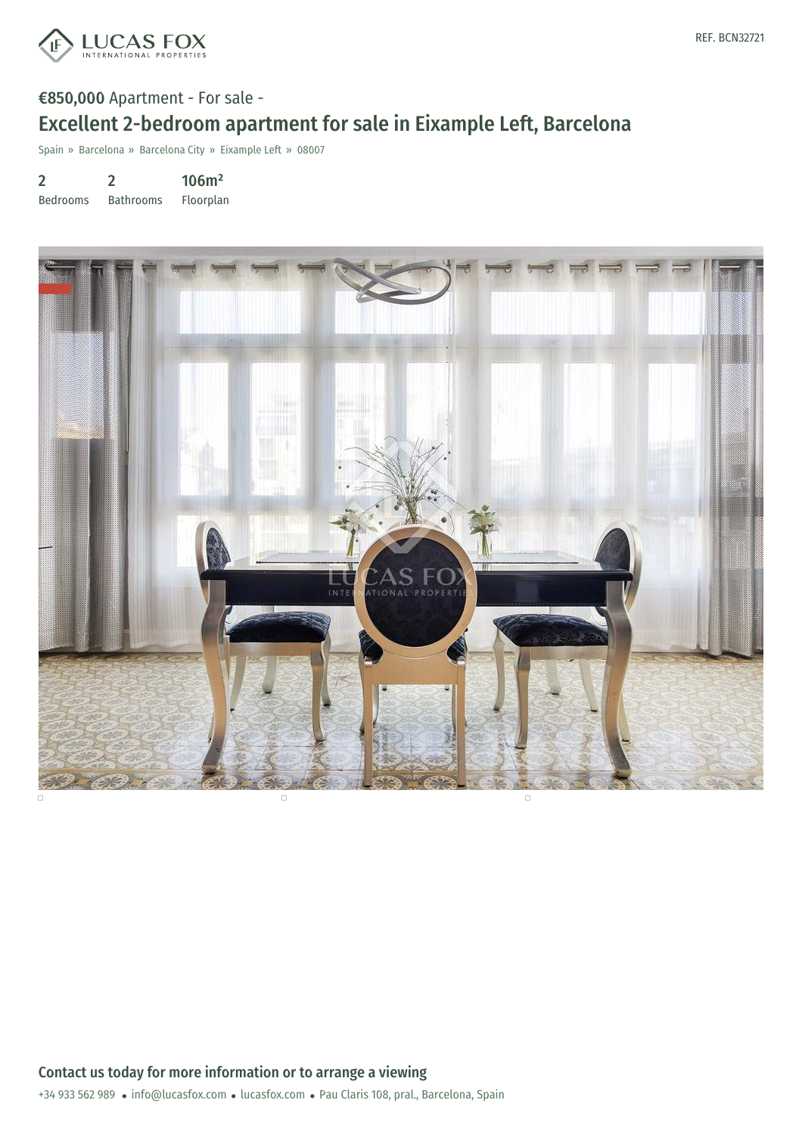

# €850,000 Apartment - For sale - Excellent 2-bedroom apartment for sale in Eixample Left, Barcelona

Spain » Barcelona » Barcelona City » Eixample Left » 08007

2 2 106m²

Bedrooms Bathrooms Floorplan

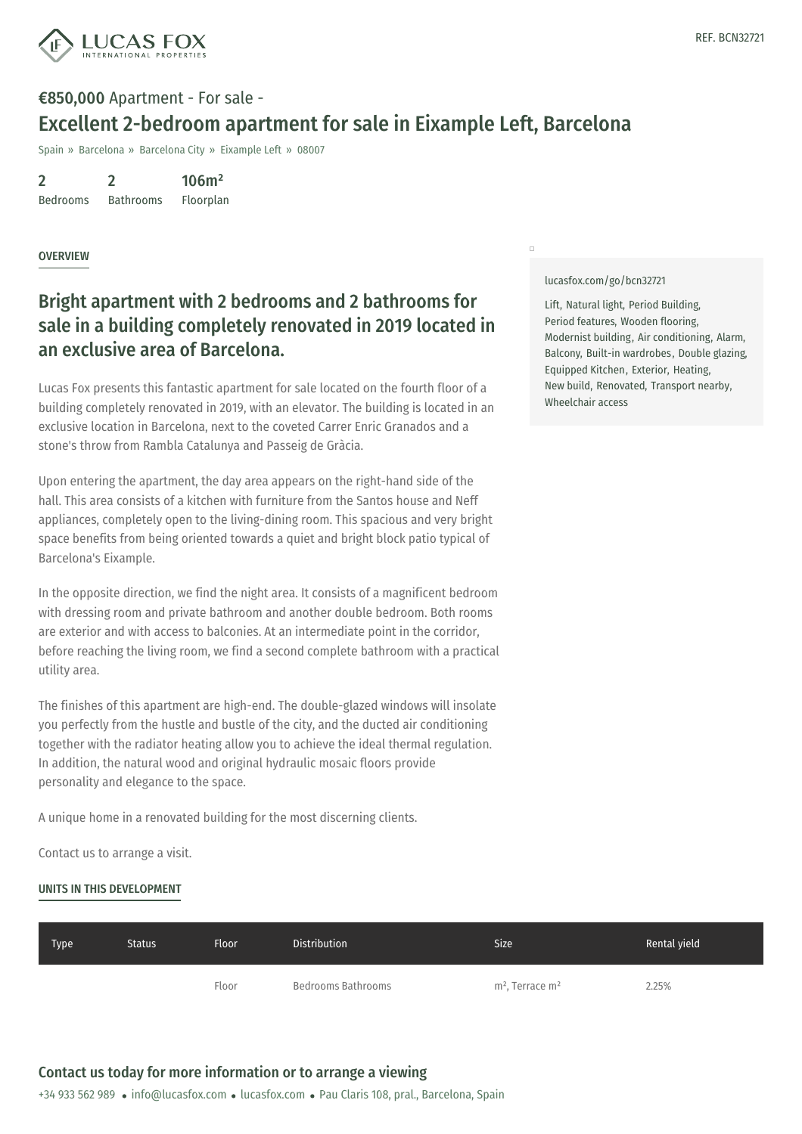

# €850,000 Apartment - For sale - Excellent 2-bedroom apartment for sale in Eixample Left, Barcelona

Spain » Barcelona » Barcelona City » Eixample Left » 08007

2 Bedrooms 2 Bathrooms 106m² Floorplan

**OVERVIEW** 

## Bright apartment with 2 bedrooms and 2 bathrooms for sale in a building completely renovated in 2019 located in an exclusive area of Barcelona.

Lucas Fox presents this fantastic apartment for sale located on the fourth floor of a building completely renovated in 2019, with an elevator. The building is located in an exclusive location in Barcelona, next to the coveted Carrer Enric Granados and a stone's throw from Rambla Catalunya and Passeig de Gràcia.

Upon entering the apartment, the day area appears on the right-hand side of the hall. This area consists of a kitchen with furniture from the Santos house and Neff appliances, completely open to the living-dining room. This spacious and very bright space benefits from being oriented towards a quiet and bright block patio typical of Barcelona's Eixample.

In the opposite direction, we find the night area. It consists of a magnificent bedroom with dressing room and private bathroom and another double bedroom. Both rooms are exterior and with access to balconies. At an intermediate point in the corridor, before reaching the living room, we find a second complete bathroom with a practical utility area.

The finishes of this apartment are high-end. The double-glazed windows will insolate you perfectly from the hustle and bustle of the city, and the ducted air conditioning together with the radiator heating allow you to achieve the ideal thermal regulation. In addition, the natural wood and original hydraulic mosaic floors provide personality and elegance to the space.

A unique home in a renovated building for the most discerning clients.

Contact us to arrange a [visit.](mailto:info@lucasfox.com)

#### UNITS IN THIS DEVELOPMENT

[lucasfox.com/go/bcn32721](https://www.lucasfox.com/go/bcn32721)

 $\Box$ 

Lift, Natural light, Period Building, Period features, Wooden flooring, Modernist building, Air conditioning, Alarm, Balcony, Built-in wardrobes, Double glazing, Equipped Kitchen, Exterior, Heating, New build, Renovated, Transport nearby, Wheelchair access

| Floor | Bedrooms Bathrooms | m <sup>2</sup> , Terrace m <sup>2</sup> | 2.25% |
|-------|--------------------|-----------------------------------------|-------|
|       |                    |                                         |       |

Type Status Floor Distribution Size Rental yield

### Contact us today for more information or to arrange a viewing